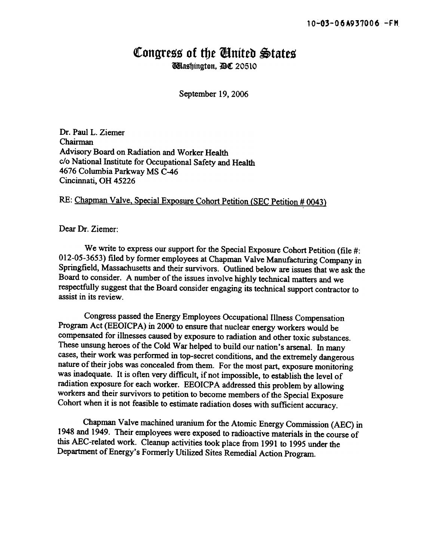## Congress of the Ginited States

**Wilashington. AC 20510** 

September 19, 2006

Dr. Paul L. Ziemer Chairman Advisory Board on Radiation and Worker Health c/o National Institute for Occupational Safety and Health 4676 Columbia Parkway MS C-46 Cincinnati, OH 45226

## RE: Chapman Valve, Special Exposure Cohort Petition (SEC Petition # 0043)

Dear Dr. Ziemer:

We write to express our support for the Special Exposure Cohort Petition (file #: 012-05-3653) filed by fonner employees at Chapman Valve Manufacturing Company in Springfield, Massachusetts and their survivors. Outlined below are issues that we ask the Board to consider. A number of the issues involve highly technical matters and we respectfully suggest that the Board consider engaging its technical support contractor to assist in its review.

Congress passed the Energy Employees Occupational Illness Compensation Program Act (EEOICPA) in 2000 to ensure that nuclear energy workers would be compensated for illnesses caused by exposure to radiation and other toxic substances. These unsung heroes of the Cold War helped to build our nation's arsenal. In many cases, their work was perfonned in top-secret conditions, and the extremely dangerous nature of their jobs was concealed from them. For the most part, exposure monitoring was inadequate. It is often very difficult, if not impossible, to establish the level of radiation exposure for each worker. EEOICPA addressed this problem by allowing workers and their survivors to petition to become members of the Special Exposure Cohort when it is not feasible to estimate radiation doses with sufficient accuracy.

Chapman Valve machined uranium for the Atomic Energy Commission (AEC) in 1948 and 1949. Their employees were exposed to radioactive materials in the course of this AEC-related work. Cleanup activities took place from 1991 to 1995 under the Department of Energy's Formerly Utilized Sites Remedial Action Program.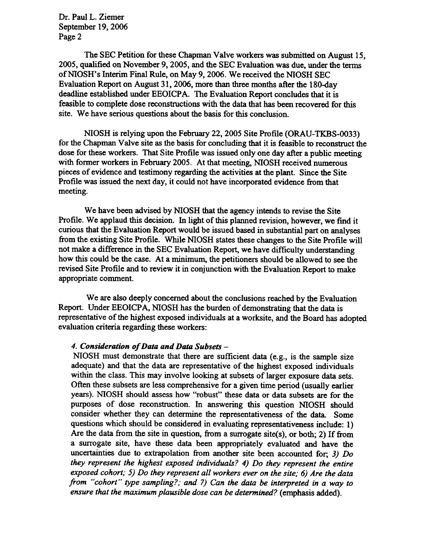Dr. Paul L. Ziemer September 19, 2006 Page 2

The SEC Petition for these Chapman Valve workers was submitted on August 15, 2005, qualified on November 9, 2005, and the SEC Evaluation was due, under the terms of NIOSH's Interim Final Rule, on May 9, 2006. We received the NIOSH SEC Evaluation Report on August 31, 2006, more than three months after the 180-day deadline established under EEOICPA. The Evaluation Report concludes that it is feasible to complete dose reconstructions with the data that has been recovered for this site. We have serious questions about the basis for this conclusion.

NIOSH is relying upon the February 22, 2005 Site Profile (ORAU-TKBS-0033) for the Chapman Valve site as the basis for concluding that it is feasible to reconstruct the dose for these workers. That Site Profile was issued only one day after a public meeting with former workers in February 2005. At that meeting, NIOSH received numerous pieces of evidence and testimony regarding the activities at the plant. Since the Site Profile was issued the next day, it could not have incorporated evidence from that meeting.

We have been advised by NIOSH that the agency intends to revise the Site Profile. We applaud this decision. In light of this planned revision, however, we find it curious that the Evaluation Report would be issued based in substantial part on analyses from the existing Site Profile. While NIOSH states these changes to the Site Profile will not make a difference in the SEC Evaluation Report, we have difficulty understanding how this could be the case. At a minimum, the petitioners should be allowed to see the revised Site Profile and to review it in conjunction with the Evaluation Report to make appropriate comment.

We are also deeply concerned about the conclusions reached by the Evaluation Report. Under EEOICPA, NIOSH has the burden of demonstrating that the data is representative of the highest exposed individuals at a worksite, and the Board has adopted evaluation criteria regarding these workers:

## 4. Consideration of Data and Data Subsets -

NIOSH must demonstrate that there are sufficient data (e.g., is the sample size adequate) and that the data are representative of the highest exposed individuals within the class. This may involve looking at subsets of larger exposure data sets. Often these subsets are less comprehensive for a given time period (usually earlier years). NIOSH should assess how "robust" these data or data subsets are for the purposes of dose reconstruction. In answering this question NIOSH should consider whether they can determine the representativeness of the data. Some questions which should be considered in evaluating representativeness include: 1) Are the data from the site in question, from a surrogate site(s), or both; 2) If from a surrogate site, have these data been appropriately evaluated and have the uncertainties due to extrapolation from another site been accounted for; 3) Do they represent the highest exposed individuals? 4) Do they represent the entire exposed cohort; 5) Do they represent all workers ever on the site; 6) Are the data from "cohort" type sampling?; and 7) Can the data be interpreted in a way to ensure that the maximum plausible dose can be determined? (emphasis added).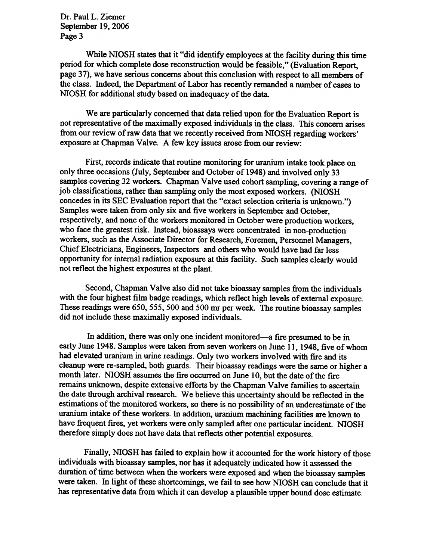Dr. Paul L. Ziemer September 19, 2006 Page 3

While NIOSH states that it "did identify employees at the facility during this time period for which complete dose reconstruction would be feasible," (Evaluation Report, page 37), we have serious concerns about this conclusion with respect to all members of the class. Indeed, the Department of Labor has recently remanded a number of cases to NIOSH for additional study based on inadequacy of the data.

We are particularly concerned that data relied upon for the Evaluation Report is not representative of the maximally exposed individuals in the class. This concern arises from our review of raw data that we recently received from NIOSH regarding workers' exposure at Chapman Valve. A few key issues arose from our review:

First, records indicate that routine monitoring for uranium intake took place on only three occasions (July, September and October of 1948) and involved only 33 samples covering 32 workers. Chapman Valve used cohort sampling, covering a range of job classifications, rather than sampling only the most exposed workers. (NIOSH concedes in its SEC Evaluation report that the "exact selection criteria is unknown.") Samples were taken from only six and five workers in September and October, respectively, and none of the workers monitored in October were production workers, who face the greatest risk. Instead, bioassays were concentrated in non-production workers, such as the Associate Director for Research, Foremen, Personnel Managers, Chief Electricians, Engineers, Inspectors and others who would have had far less opportunity for internal radiation exposure at this facility. Such samples clearly would not reflect the highest exposures at the plant.

Second, Chapman Valve also did not take bioassay samples from the individuals with the four highest film badge readings, which reflect high levels of external exposure. These readings were 650, 555, 500 and 500 mr per week. The routine bioassay samples did not include these maximally exposed individuals.

In addition, there was only one incident monitored—a fire presumed to be in early June 1948. Samples were taken from seven workers on June 11, 1948, five of whom had elevated uranium in urine readings. Only two workers involved with fire and its cleanup were re-sampled, both guards. Their bioassay readings were the same or higher a month later. NIOSH assumes the fire occurred on June 10, but the date of the fire remains unknown, despite extensive efforts by the Chapman Valve families to ascertain the date through archival research. We believe this uncertainty should be reflected in the estimations of the monitored workers, so there is no possibility of an underestimate of the uranium intake of these workers. In addition, uranium machining facilities are known to have frequent fires, yet workers were only sampled after one particular incident. NIOSH therefore simply does not have data that reflects other potential exposures.

Finally, NIOSH has failed to explain how it accounted for the work history of those individuals with bioassay samples, nor has it adequately indicated how it assessed the duration of time between when the workers were exposed and when the bioassay samples were taken. In light of these shortcomings, we fail to see how NIOSH can conclude that it has representative data from which it can develop a plausible upper bound dose estimate.